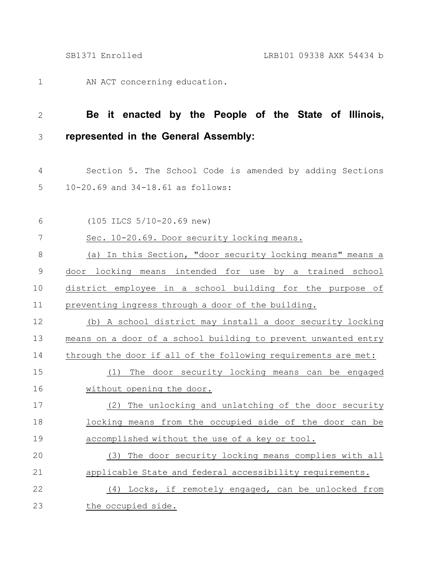AN ACT concerning education. 1

## **Be it enacted by the People of the State of Illinois, represented in the General Assembly:** 2 3

Section 5. The School Code is amended by adding Sections 10-20.69 and 34-18.61 as follows: 4 5

| 6           | (105 ILCS 5/10-20.69 new)                                      |
|-------------|----------------------------------------------------------------|
| 7           | Sec. 10-20.69. Door security locking means.                    |
| 8           | (a) In this Section, "door security locking means" means a     |
| $\mathsf 9$ | door locking means intended for use by a trained school        |
| 10          | district employee in a school building for the purpose of      |
| 11          | preventing ingress through a door of the building.             |
| 12          | (b) A school district may install a door security locking      |
| 13          | means on a door of a school building to prevent unwanted entry |
| 14          | through the door if all of the following requirements are met: |
| 15          | (1) The door security locking means can be engaged             |
| 16          | without opening the door.                                      |
| 17          | The unlocking and unlatching of the door security<br>(2)       |
| 18          | locking means from the occupied side of the door can be        |
| 19          | accomplished without the use of a key or tool.                 |
| 20          | (3) The door security locking means complies with all          |
| 21          | applicable State and federal accessibility requirements.       |
| 22          | (4) Locks, if remotely engaged, can be unlocked from           |
| 23          | the occupied side.                                             |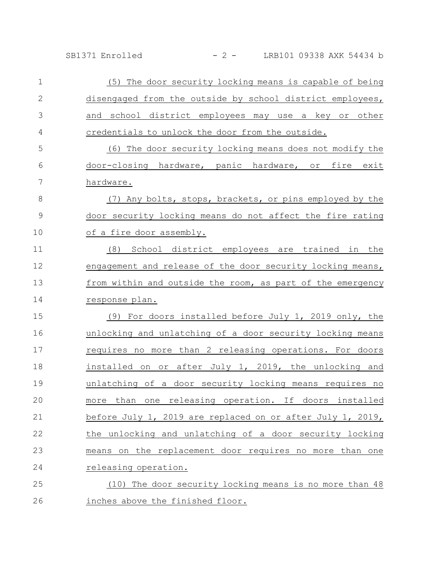SB1371 Enrolled - 2 - LRB101 09338 AXK 54434 b

| $\mathbf 1$    | (5) The door security locking means is capable of being           |
|----------------|-------------------------------------------------------------------|
| $\mathbf{2}$   | disengaged from the outside by school district employees,         |
| 3              | and school district employees may use a key or other              |
| 4              | credentials to unlock the door from the outside.                  |
| 5              | (6) The door security locking means does not modify the           |
| 6              | door-closing hardware, panic hardware, or fire exit               |
| $\overline{7}$ | hardware.                                                         |
| $\,8\,$        | (7) Any bolts, stops, brackets, or pins employed by the           |
| $\mathsf 9$    | door security locking means do not affect the fire rating         |
| 10             | of a fire door assembly.                                          |
| 11             | (8) School district employees are trained in the                  |
| 12             | engagement and release of the door security locking means,        |
| 13             | from within and outside the room, as part of the emergency        |
| 14             | response plan.                                                    |
| 15             | (9) For doors installed before July 1, 2019 only, the             |
| 16             | unlocking and unlatching of a door security locking means         |
| 17             | requires no more than 2 releasing operations. For doors           |
| 18             | installed on or after July 1, 2019, the unlocking and             |
| 19             | unlatching of a door security locking means requires no           |
| 20             | releasing operation. If doors<br>installed<br>than<br>more<br>one |
| 21             | before July 1, 2019 are replaced on or after July 1, 2019,        |
| 22             | the unlocking and unlatching of a door security locking           |
| 23             | means on the replacement door requires no more than one           |
| 24             | releasing operation.                                              |
| 25             | (10) The door security locking means is no more than 48           |
| 26             | inches above the finished floor.                                  |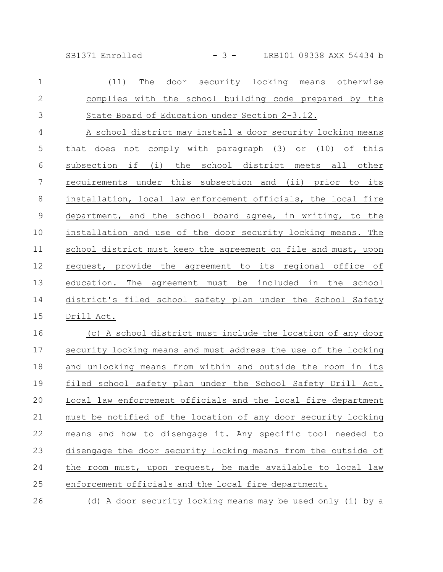SB1371 Enrolled - 3 - LRB101 09338 AXK 54434 b

| $\mathbf 1$   | (11)<br>security locking<br>The<br>door<br>means otherwise     |
|---------------|----------------------------------------------------------------|
| 2             | complies with the school building code prepared by the         |
| 3             | State Board of Education under Section 2-3.12.                 |
| 4             | A school district may install a door security locking means    |
| 5             | does not comply with paragraph (3) or (10) of this<br>that     |
| 6             | subsection if (i) the school district meets all other          |
| 7             | requirements under this subsection and (ii) prior to its       |
| $8\,$         | installation, local law enforcement officials, the local fire  |
| $\mathcal{G}$ | department, and the school board agree, in writing, to the     |
| 10            | installation and use of the door security locking means. The   |
| 11            | school district must keep the agreement on file and must, upon |
| 12            | request, provide the agreement to its regional office of       |
| 13            | education. The agreement must be included in the school        |
| 14            | district's filed school safety plan under the School Safety    |
| 15            | Drill Act.                                                     |
| 16            | (c) A school district must include the location of any door    |
| 17            | security locking means and must address the use of the locking |
| 18            | and unlocking means from within and outside the room in its    |
| 19            | filed school safety plan under the School Safety Drill Act.    |
| 20            | Local law enforcement officials and the local fire department  |
| 21            | must be notified of the location of any door security locking  |
| 22            | means and how to disengage it. Any specific tool needed to     |
| 23            | disengage the door security locking means from the outside of  |
| 24            | the room must, upon request, be made available to local law    |
|               |                                                                |

enforcement officials and the local fire department. 25

(d) A door security locking means may be used only (i) by a 26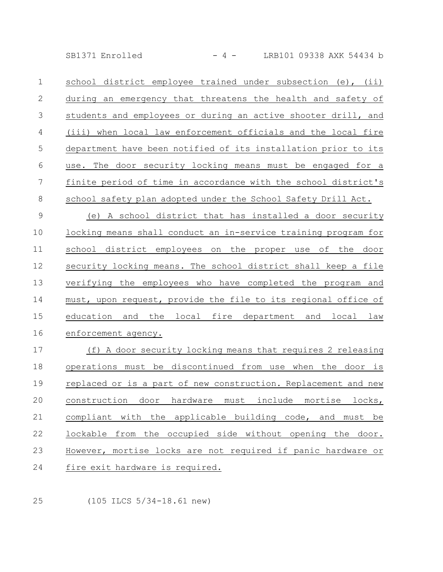SB1371 Enrolled - 4 - LRB101 09338 AXK 54434 b

school district employee trained under subsection (e), (ii) during an emergency that threatens the health and safety of students and employees or during an active shooter drill, and (iii) when local law enforcement officials and the local fire department have been notified of its installation prior to its use. The door security locking means must be engaged for a finite period of time in accordance with the school district's school safety plan adopted under the School Safety Drill Act. 1 2 3 4 5 6 7 8

(e) A school district that has installed a door security locking means shall conduct an in-service training program for school district employees on the proper use of the door security locking means. The school district shall keep a file verifying the employees who have completed the program and must, upon request, provide the file to its regional office of education and the local fire department and local law enforcement agency. 9 10 11 12 13 14 15 16

(f) A door security locking means that requires 2 releasing operations must be discontinued from use when the door is replaced or is a part of new construction. Replacement and new construction door hardware must include mortise locks, compliant with the applicable building code, and must be lockable from the occupied side without opening the door. However, mortise locks are not required if panic hardware or fire exit hardware is required. 17 18 19 20 21 22 23 24

25

(105 ILCS 5/34-18.61 new)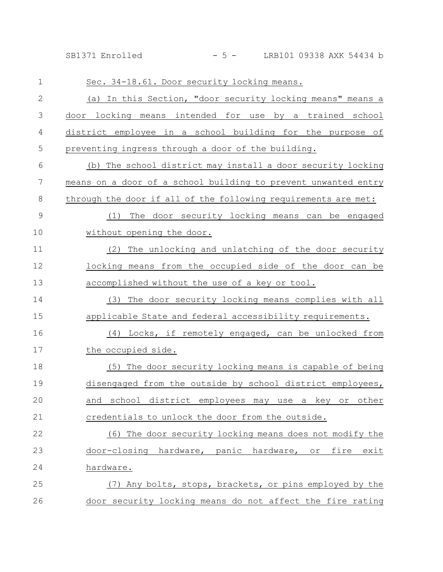SB1371 Enrolled - 5 - LRB101 09338 AXK 54434 b

| $\mathbf 1$  | Sec. 34-18.61. Door security locking means.                    |
|--------------|----------------------------------------------------------------|
| $\mathbf{2}$ | (a) In this Section, "door security locking means" means a     |
| 3            | door locking means intended for use by a trained school        |
| 4            | district employee in a school building for the purpose of      |
| 5            | preventing ingress through a door of the building.             |
| 6            | (b) The school district may install a door security locking    |
| 7            | means on a door of a school building to prevent unwanted entry |
| 8            | through the door if all of the following requirements are met: |
| $\mathsf 9$  | The door security locking means can be engaged<br>(1)          |
| 10           | without opening the door.                                      |
| 11           | (2) The unlocking and unlatching of the door security          |
| 12           | locking means from the occupied side of the door can be        |
| 13           | accomplished without the use of a key or tool.                 |
| 14           | The door security locking means complies with all<br>(3)       |
| 15           | applicable State and federal accessibility requirements.       |
| 16           | (4) Locks, if remotely engaged, can be unlocked from           |
| 17           | the occupied side.                                             |
| 18           | (5) The door security locking means is capable of being        |
| 19           | disengaged from the outside by school district employees,      |
| 20           | and school district employees may use a key or other           |
| 21           | credentials to unlock the door from the outside.               |
| 22           | (6) The door security locking means does not modify the        |
| 23           | door-closing hardware, panic hardware, or<br>fire<br>exit      |
| 24           | hardware.                                                      |
| 25           | (7) Any bolts, stops, brackets, or pins employed by the        |
| 26           | door security locking means do not affect the fire rating      |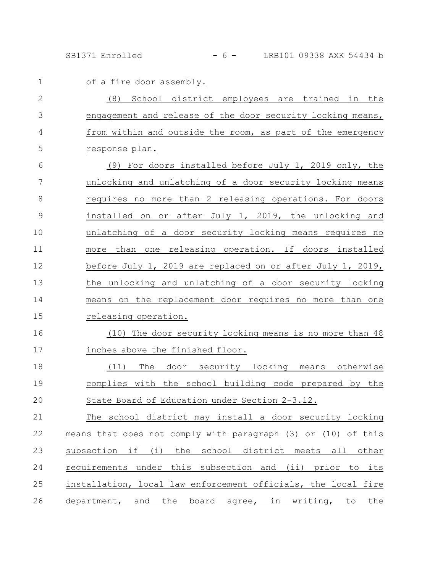SB1371 Enrolled - 6 - LRB101 09338 AXK 54434 b

| $\mathbf 1$   | of a fire door assembly.                                      |
|---------------|---------------------------------------------------------------|
| $\mathbf{2}$  | (8) School district employees are trained in the              |
| 3             | engagement and release of the door security locking means,    |
| 4             | from within and outside the room, as part of the emergency    |
| 5             | response plan.                                                |
| 6             | (9) For doors installed before July 1, 2019 only, the         |
| 7             | unlocking and unlatching of a door security locking means     |
| 8             | requires no more than 2 releasing operations. For doors       |
| $\mathcal{G}$ | installed on or after July 1, 2019, the unlocking and         |
| 10            | unlatching of a door security locking means requires no       |
| 11            | than one releasing operation. If doors installed<br>more      |
| 12            | before July 1, 2019 are replaced on or after July 1, 2019,    |
| 13            | the unlocking and unlatching of a door security locking       |
| 14            | means on the replacement door requires no more than one       |
| 15            | releasing operation.                                          |
| 16            | (10) The door security locking means is no more than 48       |
| 17            | inches above the finished floor.                              |
| 18            | The door security locking means otherwise<br>(11)             |
| 19            | complies with the school building code prepared by the        |
| 20            | State Board of Education under Section 2-3.12.                |
| 21            | The school district may install a door security locking       |
| 22            | means that does not comply with paragraph (3) or (10) of this |
| 23            | subsection if (i) the school district meets all other         |
| 24            | requirements under this subsection and (ii) prior to its      |
| 25            | installation, local law enforcement officials, the local fire |
| 26            | department, and the board agree, in writing, to the           |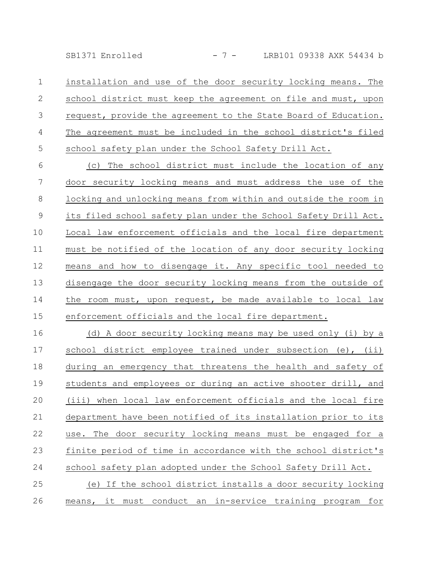SB1371 Enrolled - 7 - LRB101 09338 AXK 54434 b

installation and use of the door security locking means. The school district must keep the agreement on file and must, upon request, provide the agreement to the State Board of Education. The agreement must be included in the school district's filed school safety plan under the School Safety Drill Act. 1 2 3 4 5

(c) The school district must include the location of any door security locking means and must address the use of the locking and unlocking means from within and outside the room in its filed school safety plan under the School Safety Drill Act. Local law enforcement officials and the local fire department must be notified of the location of any door security locking means and how to disengage it. Any specific tool needed to disengage the door security locking means from the outside of the room must, upon request, be made available to local law enforcement officials and the local fire department. 6 7 8 9 10 11 12 13 14 15

(d) A door security locking means may be used only (i) by a school district employee trained under subsection (e), (ii) during an emergency that threatens the health and safety of students and employees or during an active shooter drill, and (iii) when local law enforcement officials and the local fire department have been notified of its installation prior to its use. The door security locking means must be engaged for a finite period of time in accordance with the school district's school safety plan adopted under the School Safety Drill Act. (e) If the school district installs a door security locking means, it must conduct an in-service training program for 16 17 18 19 20 21 22 23 24 25 26